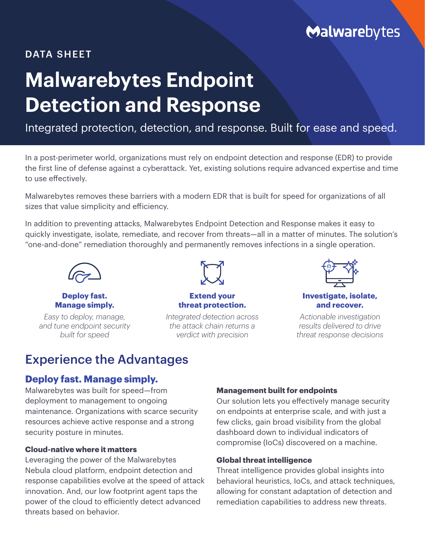# Malwarebytes

# DATA SHEET

# **Malwarebytes Endpoint Detection and Response**

# Integrated protection, detection, and response. Built for ease and speed.

In a post-perimeter world, organizations must rely on endpoint detection and response (EDR) to provide the first line of defense against a cyberattack. Yet, existing solutions require advanced expertise and time to use effectively.

Malwarebytes removes these barriers with a modern EDR that is built for speed for organizations of all sizes that value simplicity and efficiency.

In addition to preventing attacks, Malwarebytes Endpoint Detection and Response makes it easy to quickly investigate, isolate, remediate, and recover from threats—all in a matter of minutes. The solution's "one-and-done" remediation thoroughly and permanently removes infections in a single operation.



**Deploy fast. Manage simply.**

*Easy to deploy, manage, and tune endpoint security built for speed*



## **Extend your threat protection.**

*Integrated detection across the attack chain returns a verdict with precision*



**Investigate, isolate, and recover.**

*Actionable investigation results delivered to drive threat response decisions*

# Experience the Advantages

# **Deploy fast. Manage simply.**

Malwarebytes was built for speed—from deployment to management to ongoing maintenance. Organizations with scarce security resources achieve active response and a strong security posture in minutes.

# **Cloud-native where it matters**

Leveraging the power of the Malwarebytes Nebula cloud platform, endpoint detection and response capabilities evolve at the speed of attack innovation. And, our low footprint agent taps the power of the cloud to efficiently detect advanced threats based on behavior.

# **Management built for endpoints**

Our solution lets you effectively manage security on endpoints at enterprise scale, and with just a few clicks, gain broad visibility from the global dashboard down to individual indicators of compromise (IoCs) discovered on a machine.

# **Global threat intelligence**

Threat intelligence provides global insights into behavioral heuristics, IoCs, and attack techniques, allowing for constant adaptation of detection and remediation capabilities to address new threats.